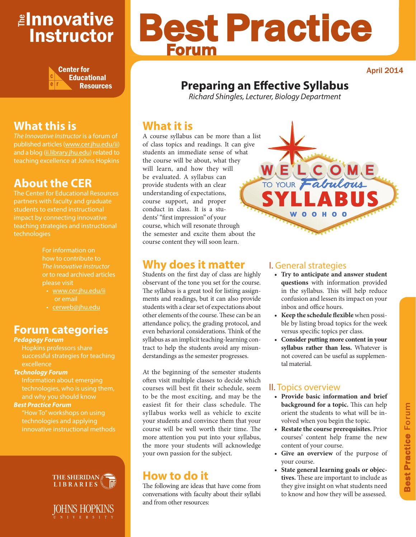# <mark>≇Innovative</mark> Instructor



# Best Practice Forum

April 2014

# **Preparing an Effective Syllabus**

*Richard Shingles, Lecturer, Biology Department*

# **What it is**

A course syllabus can be more than a list of class topics and readings. It can give students an immediate sense of what the course will be about, what they will learn, and how they will be evaluated. A syllabus can provide students with an clear understanding of expectations, course support, and proper conduct in class. It is a students' "first impression" of your course, which will resonate through the semester and excite them about the course content they will soon learn.

# **Why does it matter**

Students on the first day of class are highly observant of the tone you set for the course. The syllabus is a great tool for listing assignments and readings, but it can also provide students with a clear set of expectations about other elements of the course. These can be an attendance policy, the grading protocol, and even behavioral considerations. Think of the syllabus as an implicit teaching-learning contract to help the students avoid any misunderstandings as the semester progresses.

At the beginning of the semester students often visit multiple classes to decide which courses will best fit their schedule, seem to be the most exciting, and may be the easiest fit for their class schedule. The syllabus works well as vehicle to excite your students and convince them that your course will be well worth their time. The more attention you put into your syllabus, the more your students will acknowledge your own passion for the subject.

# **How to do it**

The following are ideas that have come from conversations with faculty about their syllabi and from other resources:

### I. General strategies

WELCOME

0 0 H 0

TO YOUR Fabulous

- **• Try to anticipate and answer student questions** with information provided in the syllabus. This will help reduce confusion and lessen its impact on your inbox and office hours.
- **• Keep the schedule flexible** when possible by listing broad topics for the week versus specific topics per class.
- **• Consider putting more content in your syllabus rather than less.** Whatever is not covered can be useful as supplemental material.

# II. Topics overview

- **• Provide basic information and brief background for a topic.** This can help orient the students to what will be involved when you begin the topic.
- **• Restate the course prerequisites.** Prior courses' content help frame the new content of your course.
- **• Give an overview** of the purpose of your course.
- **• State general learning goals or objectives.** These are important to include as they give insight on what students need to know and how they will be assessed.

# **What this is**

*The Innovative Instructor* is a forum of published articles (www.cer.jhu.edu/ii) and a blog (ii.library.jhu.edu) related to teaching excellence at Johns Hopkins

# **About the CER**

The Center for Educational Resources students to extend instructional impact by connecting innovative technologies

> For information on how to contribute to *The Innovative Instructor* or to read archived articles please visit

- www.cer.jhu.edu/ii or email
- cerweb@jhu.edu

# **Forum categories**

#### *Pedagogy Forum*

Hopkins professors share successful strategies for teaching

#### *Technology Forum*

technologies, who is using them, and why you should know

#### *Best Practice Forum*

"How To" workshops on using technologies and applying